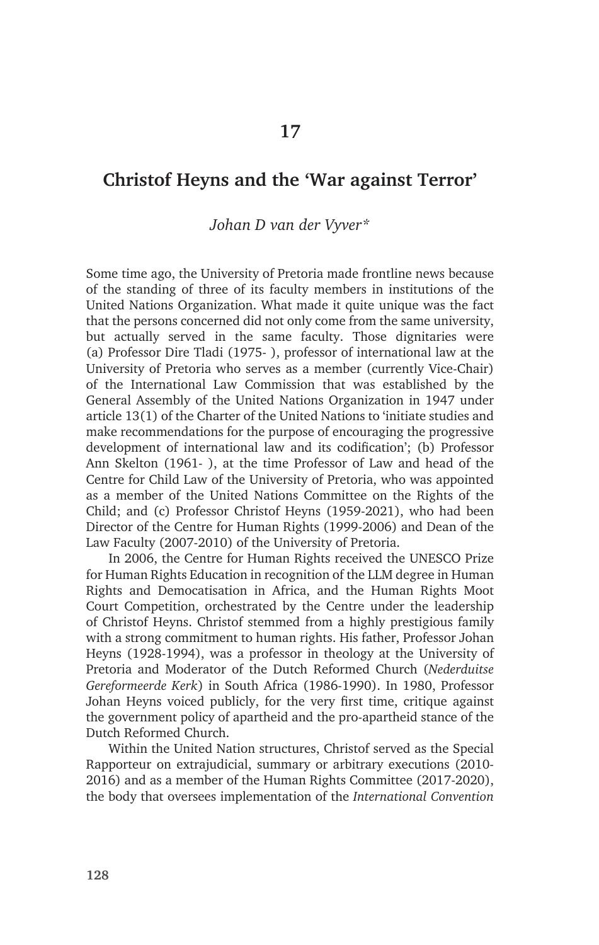### **Christof Heyns and the 'War against Terror'**

#### *Johan D van der Vyver\**

Some time ago, the University of Pretoria made frontline news because of the standing of three of its faculty members in institutions of the United Nations Organization. What made it quite unique was the fact that the persons concerned did not only come from the same university, but actually served in the same faculty. Those dignitaries were (a) Professor Dire Tladi (1975- ), professor of international law at the University of Pretoria who serves as a member (currently Vice-Chair) of the International Law Commission that was established by the General Assembly of the United Nations Organization in 1947 under article 13(1) of the Charter of the United Nations to 'initiate studies and make recommendations for the purpose of encouraging the progressive development of international law and its codification'; (b) Professor Ann Skelton (1961- ), at the time Professor of Law and head of the Centre for Child Law of the University of Pretoria, who was appointed as a member of the United Nations Committee on the Rights of the Child; and (c) Professor Christof Heyns (1959-2021), who had been Director of the Centre for Human Rights (1999-2006) and Dean of the Law Faculty (2007-2010) of the University of Pretoria.

In 2006, the Centre for Human Rights received the UNESCO Prize for Human Rights Education in recognition of the LLM degree in Human Rights and Democatisation in Africa, and the Human Rights Moot Court Competition, orchestrated by the Centre under the leadership of Christof Heyns. Christof stemmed from a highly prestigious family with a strong commitment to human rights. His father, Professor Johan Heyns (1928-1994), was a professor in theology at the University of Pretoria and Moderator of the Dutch Reformed Church (*Nederduitse Gereformeerde Kerk*) in South Africa (1986-1990). In 1980, Professor Johan Heyns voiced publicly, for the very first time, critique against the government policy of apartheid and the pro-apartheid stance of the Dutch Reformed Church.

Within the United Nation structures, Christof served as the Special Rapporteur on extrajudicial, summary or arbitrary executions (2010- 2016) and as a member of the Human Rights Committee (2017-2020), the body that oversees implementation of the *International Convention*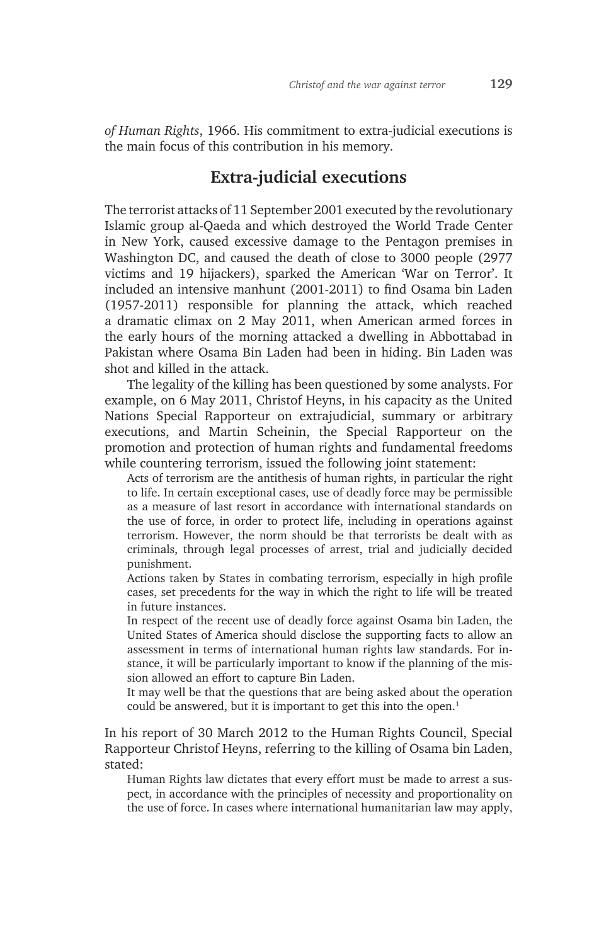*of Human Rights*, 1966. His commitment to extra-judicial executions is the main focus of this contribution in his memory.

# **Extra-judicial executions**

The terrorist attacks of 11 September 2001 executed by the revolutionary Islamic group al-Qaeda and which destroyed the World Trade Center in New York, caused excessive damage to the Pentagon premises in Washington DC, and caused the death of close to 3000 people (2977 victims and 19 hijackers), sparked the American 'War on Terror'. It included an intensive manhunt (2001-2011) to find Osama bin Laden (1957-2011) responsible for planning the attack, which reached a dramatic climax on 2 May 2011, when American armed forces in the early hours of the morning attacked a dwelling in Abbottabad in Pakistan where Osama Bin Laden had been in hiding. Bin Laden was shot and killed in the attack.

The legality of the killing has been questioned by some analysts. For example, on 6 May 2011, Christof Heyns, in his capacity as the United Nations Special Rapporteur on extrajudicial, summary or arbitrary executions, and Martin Scheinin, the Special Rapporteur on the promotion and protection of human rights and fundamental freedoms while countering terrorism, issued the following joint statement:

Acts of terrorism are the antithesis of human rights, in particular the right to life. In certain exceptional cases, use of deadly force may be permissible as a measure of last resort in accordance with international standards on the use of force, in order to protect life, including in operations against terrorism. However, the norm should be that terrorists be dealt with as criminals, through legal processes of arrest, trial and judicially decided punishment.

Actions taken by States in combating terrorism, especially in high profile cases, set precedents for the way in which the right to life will be treated in future instances.

In respect of the recent use of deadly force against Osama bin Laden, the United States of America should disclose the supporting facts to allow an assessment in terms of international human rights law standards. For instance, it will be particularly important to know if the planning of the mission allowed an effort to capture Bin Laden.

It may well be that the questions that are being asked about the operation could be answered, but it is important to get this into the open.<sup>1</sup>

In his report of 30 March 2012 to the Human Rights Council, Special Rapporteur Christof Heyns, referring to the killing of Osama bin Laden, stated:

Human Rights law dictates that every effort must be made to arrest a suspect, in accordance with the principles of necessity and proportionality on the use of force. In cases where international humanitarian law may apply,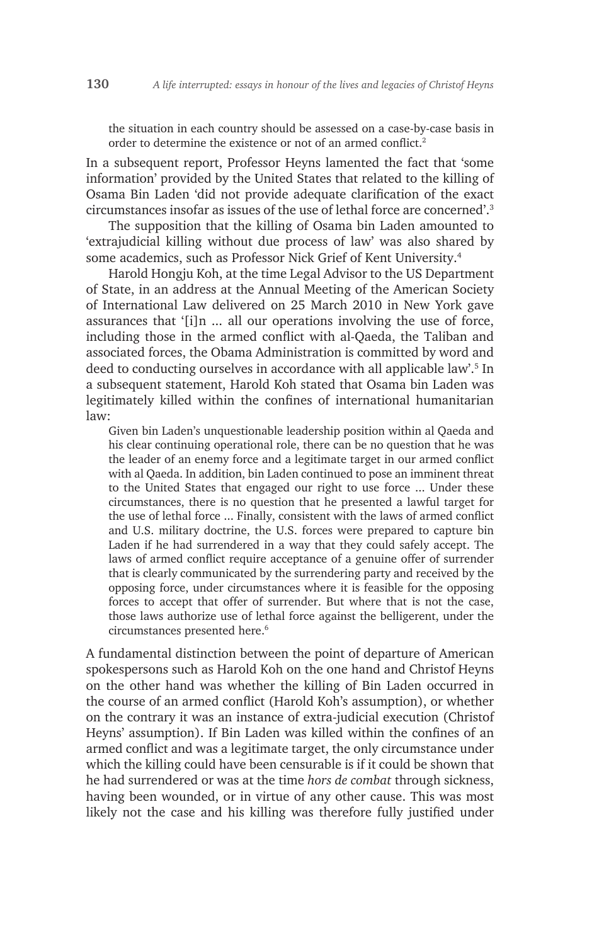the situation in each country should be assessed on a case-by-case basis in order to determine the existence or not of an armed conflict.2

In a subsequent report, Professor Heyns lamented the fact that 'some information' provided by the United States that related to the killing of Osama Bin Laden 'did not provide adequate clarification of the exact circumstances insofar as issues of the use of lethal force are concerned'.<sup>3</sup>

The supposition that the killing of Osama bin Laden amounted to 'extrajudicial killing without due process of law' was also shared by some academics, such as Professor Nick Grief of Kent University.<sup>4</sup>

Harold Hongju Koh, at the time Legal Advisor to the US Department of State, in an address at the Annual Meeting of the American Society of International Law delivered on 25 March 2010 in New York gave assurances that '[i]n ... all our operations involving the use of force, including those in the armed conflict with al-Qaeda, the Taliban and associated forces, the Obama Administration is committed by word and deed to conducting ourselves in accordance with all applicable law'.<sup>5</sup> In a subsequent statement, Harold Koh stated that Osama bin Laden was legitimately killed within the confines of international humanitarian law:

Given bin Laden's unquestionable leadership position within al Qaeda and his clear continuing operational role, there can be no question that he was the leader of an enemy force and a legitimate target in our armed conflict with al Qaeda. In addition, bin Laden continued to pose an imminent threat to the United States that engaged our right to use force ... Under these circumstances, there is no question that he presented a lawful target for the use of lethal force ... Finally, consistent with the laws of armed conflict and U.S. military doctrine, the U.S. forces were prepared to capture bin Laden if he had surrendered in a way that they could safely accept. The laws of armed conflict require acceptance of a genuine offer of surrender that is clearly communicated by the surrendering party and received by the opposing force, under circumstances where it is feasible for the opposing forces to accept that offer of surrender. But where that is not the case, those laws authorize use of lethal force against the belligerent, under the circumstances presented here.<sup>6</sup>

A fundamental distinction between the point of departure of American spokespersons such as Harold Koh on the one hand and Christof Heyns on the other hand was whether the killing of Bin Laden occurred in the course of an armed conflict (Harold Koh's assumption), or whether on the contrary it was an instance of extra-judicial execution (Christof Heyns' assumption). If Bin Laden was killed within the confines of an armed conflict and was a legitimate target, the only circumstance under which the killing could have been censurable is if it could be shown that he had surrendered or was at the time *hors de combat* through sickness, having been wounded, or in virtue of any other cause. This was most likely not the case and his killing was therefore fully justified under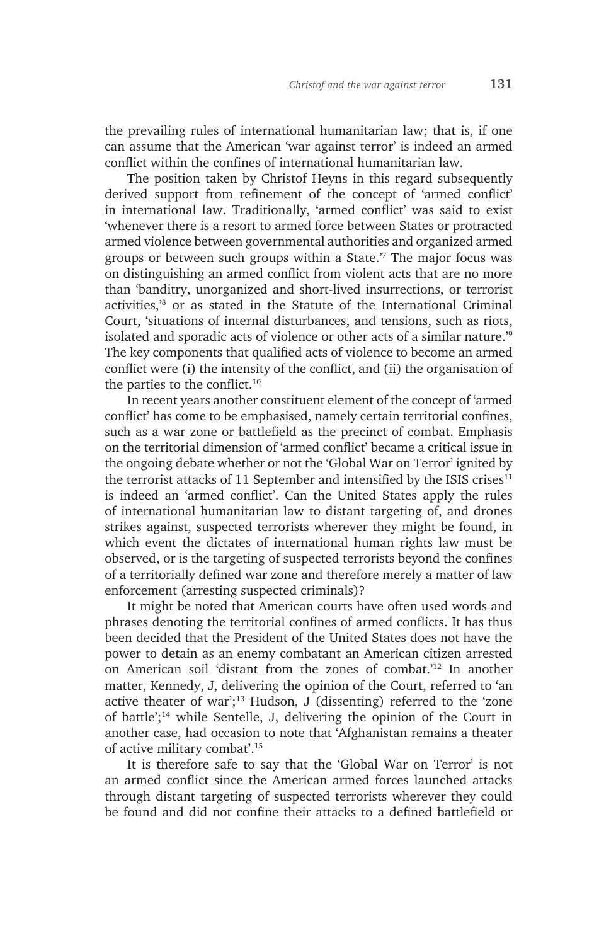the prevailing rules of international humanitarian law; that is, if one can assume that the American 'war against terror' is indeed an armed conflict within the confines of international humanitarian law.

The position taken by Christof Heyns in this regard subsequently derived support from refinement of the concept of 'armed conflict' in international law. Traditionally, 'armed conflict' was said to exist 'whenever there is a resort to armed force between States or protracted armed violence between governmental authorities and organized armed groups or between such groups within a State.'<sup>7</sup> The major focus was on distinguishing an armed conflict from violent acts that are no more than 'banditry, unorganized and short-lived insurrections, or terrorist activities,'8 or as stated in the Statute of the International Criminal Court, 'situations of internal disturbances, and tensions, such as riots, isolated and sporadic acts of violence or other acts of a similar nature.'<sup>9</sup> The key components that qualified acts of violence to become an armed conflict were (i) the intensity of the conflict, and (ii) the organisation of the parties to the conflict.10

In recent years another constituent element of the concept of 'armed conflict' has come to be emphasised, namely certain territorial confines, such as a war zone or battlefield as the precinct of combat. Emphasis on the territorial dimension of 'armed conflict' became a critical issue in the ongoing debate whether or not the 'Global War on Terror' ignited by the terrorist attacks of 11 September and intensified by the ISIS crises $11$ is indeed an 'armed conflict'. Can the United States apply the rules of international humanitarian law to distant targeting of, and drones strikes against, suspected terrorists wherever they might be found, in which event the dictates of international human rights law must be observed, or is the targeting of suspected terrorists beyond the confines of a territorially defined war zone and therefore merely a matter of law enforcement (arresting suspected criminals)?

It might be noted that American courts have often used words and phrases denoting the territorial confines of armed conflicts. It has thus been decided that the President of the United States does not have the power to detain as an enemy combatant an American citizen arrested on American soil 'distant from the zones of combat.'12 In another matter, Kennedy, J, delivering the opinion of the Court, referred to 'an active theater of war';<sup>13</sup> Hudson, J (dissenting) referred to the 'zone of battle';14 while Sentelle, J, delivering the opinion of the Court in another case, had occasion to note that 'Afghanistan remains a theater of active military combat'.<sup>15</sup>

It is therefore safe to say that the 'Global War on Terror' is not an armed conflict since the American armed forces launched attacks through distant targeting of suspected terrorists wherever they could be found and did not confine their attacks to a defined battlefield or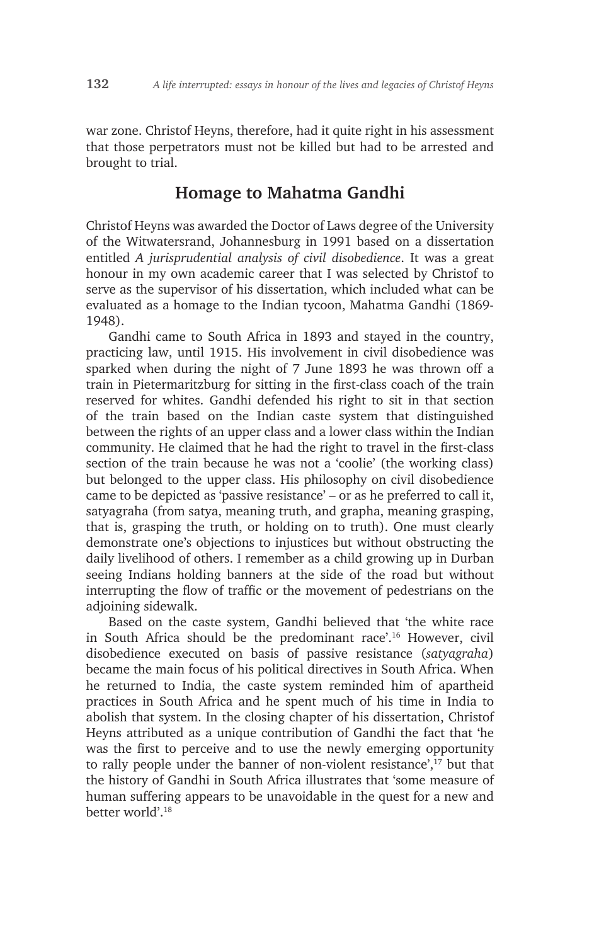war zone. Christof Heyns, therefore, had it quite right in his assessment that those perpetrators must not be killed but had to be arrested and brought to trial.

#### **Homage to Mahatma Gandhi**

Christof Heyns was awarded the Doctor of Laws degree of the University of the Witwatersrand, Johannesburg in 1991 based on a dissertation entitled *A jurisprudential analysis of civil disobedience*. It was a great honour in my own academic career that I was selected by Christof to serve as the supervisor of his dissertation, which included what can be evaluated as a homage to the Indian tycoon, Mahatma Gandhi (1869- 1948).

Gandhi came to South Africa in 1893 and stayed in the country, practicing law, until 1915. His involvement in civil disobedience was sparked when during the night of 7 June 1893 he was thrown off a train in Pietermaritzburg for sitting in the first-class coach of the train reserved for whites. Gandhi defended his right to sit in that section of the train based on the Indian caste system that distinguished between the rights of an upper class and a lower class within the Indian community. He claimed that he had the right to travel in the first-class section of the train because he was not a 'coolie' (the working class) but belonged to the upper class. His philosophy on civil disobedience came to be depicted as 'passive resistance' – or as he preferred to call it, satyagraha (from satya, meaning truth, and grapha, meaning grasping, that is, grasping the truth, or holding on to truth). One must clearly demonstrate one's objections to injustices but without obstructing the daily livelihood of others. I remember as a child growing up in Durban seeing Indians holding banners at the side of the road but without interrupting the flow of traffic or the movement of pedestrians on the adjoining sidewalk.

Based on the caste system, Gandhi believed that 'the white race in South Africa should be the predominant race'.16 However, civil disobedience executed on basis of passive resistance (*satyagraha*) became the main focus of his political directives in South Africa. When he returned to India, the caste system reminded him of apartheid practices in South Africa and he spent much of his time in India to abolish that system. In the closing chapter of his dissertation, Christof Heyns attributed as a unique contribution of Gandhi the fact that 'he was the first to perceive and to use the newly emerging opportunity to rally people under the banner of non-violent resistance',<sup>17</sup> but that the history of Gandhi in South Africa illustrates that 'some measure of human suffering appears to be unavoidable in the quest for a new and better world'<sup>18</sup>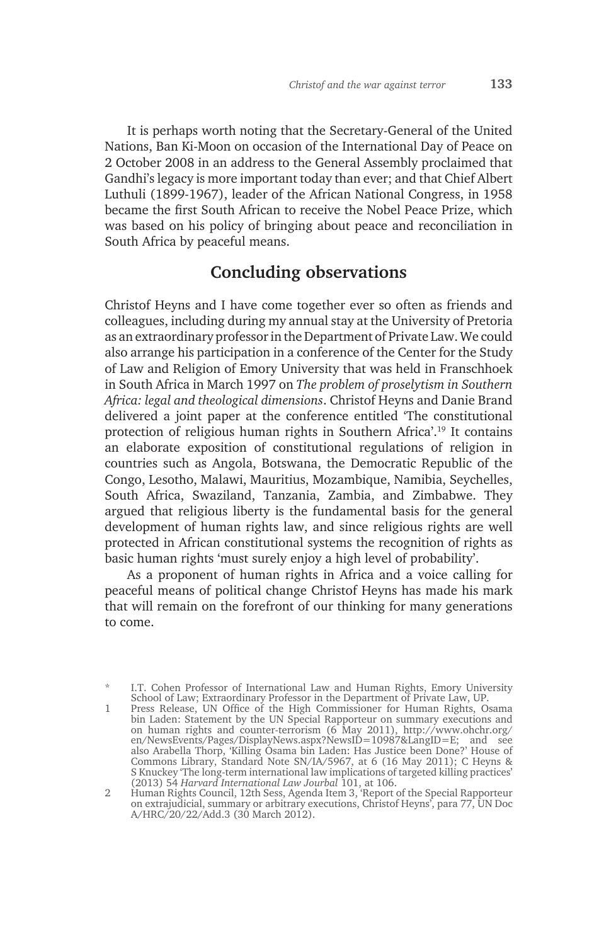It is perhaps worth noting that the Secretary-General of the United Nations, Ban Ki-Moon on occasion of the International Day of Peace on 2 October 2008 in an address to the General Assembly proclaimed that Gandhi's legacy is more important today than ever; and that Chief Albert Luthuli (1899-1967), leader of the African National Congress, in 1958 became the first South African to receive the Nobel Peace Prize, which was based on his policy of bringing about peace and reconciliation in South Africa by peaceful means.

# **Concluding observations**

Christof Heyns and I have come together ever so often as friends and colleagues, including during my annual stay at the University of Pretoria as an extraordinary professor in the Department of Private Law. We could also arrange his participation in a conference of the Center for the Study of Law and Religion of Emory University that was held in Franschhoek in South Africa in March 1997 on *The problem of proselytism in Southern Africa: legal and theological dimensions*. Christof Heyns and Danie Brand delivered a joint paper at the conference entitled 'The constitutional protection of religious human rights in Southern Africa'.19 It contains an elaborate exposition of constitutional regulations of religion in countries such as Angola, Botswana, the Democratic Republic of the Congo, Lesotho, Malawi, Mauritius, Mozambique, Namibia, Seychelles, South Africa, Swaziland, Tanzania, Zambia, and Zimbabwe. They argued that religious liberty is the fundamental basis for the general development of human rights law, and since religious rights are well protected in African constitutional systems the recognition of rights as basic human rights 'must surely enjoy a high level of probability'.

As a proponent of human rights in Africa and a voice calling for peaceful means of political change Christof Heyns has made his mark that will remain on the forefront of our thinking for many generations to come.

I.T. Cohen Professor of International Law and Human Rights, Emory University School of Law; Extraordinary Professor in the Department of Private Law, UP.

<sup>1</sup> Press Release, UN Office of the High Commissioner for Human Rights, Osama bin Laden: Statement by the UN Special Rapporteur on summary executions and on human rights and counter-terrorism (6 May 2011), http://www.ohchr.org/ en/NewsEvents/Pages/DisplayNews.aspx?NewsID=10987&LangID=E; and see also Arabella Thorp, 'Killing Osama bin Laden: Has Justice been Done?' House of Commons Library, Standard Note SN/IA/5967, at 6 (16 May 2011); C Heyns & S Knuckey 'The long-term international law implications of targeted killing practices' (2013) 54 *Harvard International Law Jourbal* 101, at 106.

<sup>2</sup> Human Rights Council, 12th Sess, Agenda Item 3, 'Report of the Special Rapporteur on extrajudicial, summary or arbitrary executions, Christof Heyns', para 77, UN Doc A/HRC/20/22/Add.3 (30 March 2012).